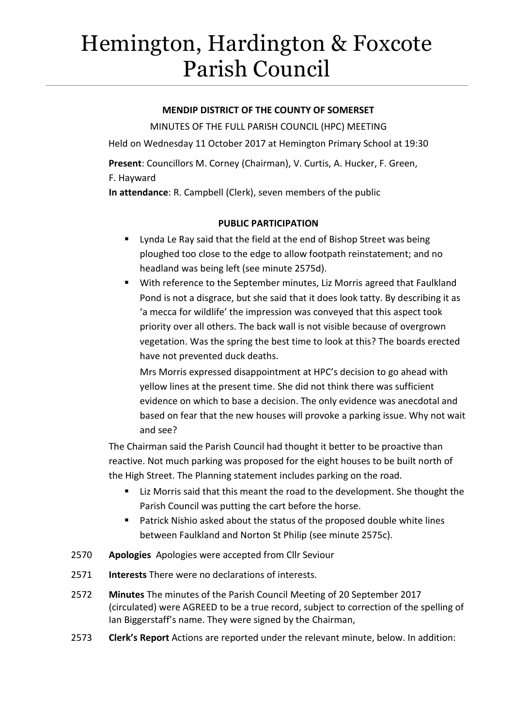# Hemington, Hardington & Foxcote Parish Council

### **MENDIP DISTRICT OF THE COUNTY OF SOMERSET**

MINUTES OF THE FULL PARISH COUNCIL (HPC) MEETING Held on Wednesday 11 October 2017 at Hemington Primary School at 19:30 **Present**: Councillors M. Corney (Chairman), V. Curtis, A. Hucker, F. Green, F. Hayward **In attendance**: R. Campbell (Clerk), seven members of the public

# **PUBLIC PARTICIPATION**

- **Uynda Le Ray said that the field at the end of Bishop Street was being** ploughed too close to the edge to allow footpath reinstatement; and no headland was being left (see minute 2575d).
- With reference to the September minutes, Liz Morris agreed that Faulkland Pond is not a disgrace, but she said that it does look tatty. By describing it as 'a mecca for wildlife' the impression was conveyed that this aspect took priority over all others. The back wall is not visible because of overgrown vegetation. Was the spring the best time to look at this? The boards erected have not prevented duck deaths.

Mrs Morris expressed disappointment at HPC's decision to go ahead with yellow lines at the present time. She did not think there was sufficient evidence on which to base a decision. The only evidence was anecdotal and based on fear that the new houses will provoke a parking issue. Why not wait and see?

The Chairman said the Parish Council had thought it better to be proactive than reactive. Not much parking was proposed for the eight houses to be built north of the High Street. The Planning statement includes parking on the road.

- **EXTER** Liz Morris said that this meant the road to the development. She thought the Parish Council was putting the cart before the horse.
- Patrick Nishio asked about the status of the proposed double white lines between Faulkland and Norton St Philip (see minute 2575c).
- 2570 **Apologies** Apologies were accepted from Cllr Seviour
- 2571 **Interests** There were no declarations of interests.
- 2572 **Minutes** The minutes of the Parish Council Meeting of 20 September 2017 (circulated) were AGREED to be a true record, subject to correction of the spelling of Ian Biggerstaff's name. They were signed by the Chairman,
- 2573 **Clerk's Report** Actions are reported under the relevant minute, below. In addition: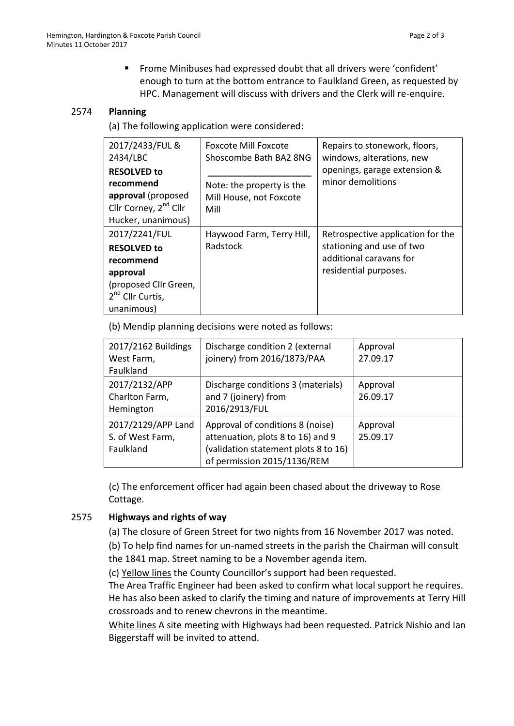Frome Minibuses had expressed doubt that all drivers were 'confident' enough to turn at the bottom entrance to Faulkland Green, as requested by HPC. Management will discuss with drivers and the Clerk will re-enquire.

#### 2574 **Planning**

(a) The following application were considered:

| 2017/2433/FUL &<br>2434/LBC                                                                                                         | <b>Foxcote Mill Foxcote</b><br>Shoscombe Bath BA2 8NG        | Repairs to stonework, floors,<br>windows, alterations, new<br>openings, garage extension &<br>minor demolitions    |
|-------------------------------------------------------------------------------------------------------------------------------------|--------------------------------------------------------------|--------------------------------------------------------------------------------------------------------------------|
| <b>RESOLVED to</b><br>recommend<br>approval (proposed<br>Cllr Corney, 2 <sup>nd</sup> Cllr<br>Hucker, unanimous)                    | Note: the property is the<br>Mill House, not Foxcote<br>Mill |                                                                                                                    |
| 2017/2241/FUL<br><b>RESOLVED to</b><br>recommend<br>approval<br>(proposed Cllr Green,<br>2 <sup>nd</sup> Cllr Curtis,<br>unanimous) | Haywood Farm, Terry Hill,<br>Radstock                        | Retrospective application for the<br>stationing and use of two<br>additional caravans for<br>residential purposes. |

(b) Mendip planning decisions were noted as follows:

| 2017/2162 Buildings<br>West Farm,<br>Faulkland      | Discharge condition 2 (external<br>joinery) from 2016/1873/PAA                                                                               | Approval<br>27.09.17 |
|-----------------------------------------------------|----------------------------------------------------------------------------------------------------------------------------------------------|----------------------|
| 2017/2132/APP<br>Charlton Farm,<br>Hemington        | Discharge conditions 3 (materials)<br>and 7 (joinery) from<br>2016/2913/FUL                                                                  | Approval<br>26.09.17 |
| 2017/2129/APP Land<br>S. of West Farm,<br>Faulkland | Approval of conditions 8 (noise)<br>attenuation, plots 8 to 16) and 9<br>(validation statement plots 8 to 16)<br>of permission 2015/1136/REM | Approval<br>25.09.17 |

(c) The enforcement officer had again been chased about the driveway to Rose Cottage.

# 2575 **Highways and rights of way**

(a) The closure of Green Street for two nights from 16 November 2017 was noted.

(b) To help find names for un-named streets in the parish the Chairman will consult the 1841 map. Street naming to be a November agenda item.

(c) Yellow lines the County Councillor's support had been requested.

The Area Traffic Engineer had been asked to confirm what local support he requires. He has also been asked to clarify the timing and nature of improvements at Terry Hill crossroads and to renew chevrons in the meantime.

White lines A site meeting with Highways had been requested. Patrick Nishio and Ian Biggerstaff will be invited to attend.